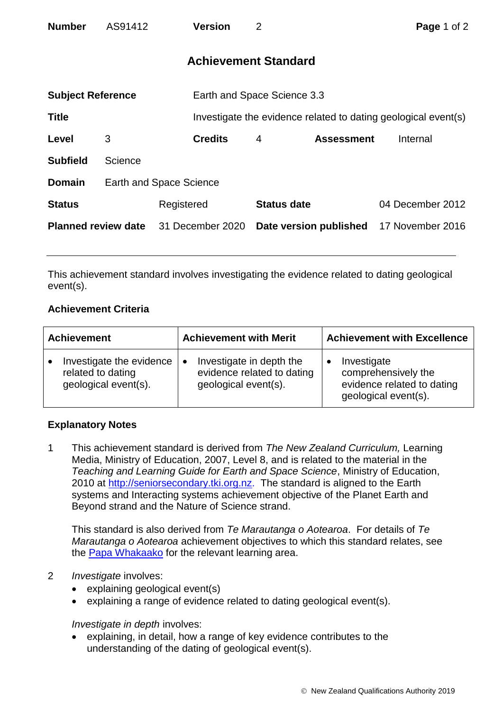| <b>Number</b>              | AS91412 |                                | <b>Version</b>              | 2                           |                   | Page 1 of 2                                                    |  |
|----------------------------|---------|--------------------------------|-----------------------------|-----------------------------|-------------------|----------------------------------------------------------------|--|
|                            |         |                                |                             | <b>Achievement Standard</b> |                   |                                                                |  |
| <b>Subject Reference</b>   |         |                                | Earth and Space Science 3.3 |                             |                   |                                                                |  |
| <b>Title</b>               |         |                                |                             |                             |                   | Investigate the evidence related to dating geological event(s) |  |
| Level                      | 3       |                                | <b>Credits</b>              | 4                           | <b>Assessment</b> | Internal                                                       |  |
| <b>Subfield</b>            | Science |                                |                             |                             |                   |                                                                |  |
| <b>Domain</b>              |         | <b>Earth and Space Science</b> |                             |                             |                   |                                                                |  |
| <b>Status</b>              |         | Registered                     |                             | <b>Status date</b>          |                   | 04 December 2012                                               |  |
| <b>Planned review date</b> |         | 31 December 2020               |                             | Date version published      |                   | 17 November 2016                                               |  |

This achievement standard involves investigating the evidence related to dating geological event(s).

# **Achievement Criteria**

| <b>Achievement</b>       | <b>Achievement with Merit</b> | <b>Achievement with Excellence</b> |  |
|--------------------------|-------------------------------|------------------------------------|--|
| Investigate the evidence | Investigate in depth the      | Investigate                        |  |
| $\bullet$                | $\bullet$                     | comprehensively the                |  |
| related to dating        | evidence related to dating    | evidence related to dating         |  |
| geological event(s).     | geological event(s).          | geological event(s).               |  |

# **Explanatory Notes**

1 This achievement standard is derived from *The New Zealand Curriculum,* Learning Media, Ministry of Education, 2007, Level 8, and is related to the material in the *Teaching and Learning Guide for Earth and Space Science*, Ministry of Education, 2010 at [http://seniorsecondary.tki.org.nz.](http://seniorsecondary.tki.org.nz/) The standard is aligned to the Earth systems and Interacting systems achievement objective of the Planet Earth and Beyond strand and the Nature of Science strand.

This standard is also derived from *Te Marautanga o Aotearoa*. For details of *Te Marautanga o Aotearoa* achievement objectives to which this standard relates, see the [Papa Whakaako](http://tmoa.tki.org.nz/Te-Marautanga-o-Aotearoa/Taumata-Matauranga-a-Motu-Ka-Taea) for the relevant learning area.

# 2 *Investigate* involves:

- explaining geological event(s)
- explaining a range of evidence related to dating geological event(s).

# *Investigate in depth* involves:

 explaining, in detail, how a range of key evidence contributes to the understanding of the dating of geological event(s).